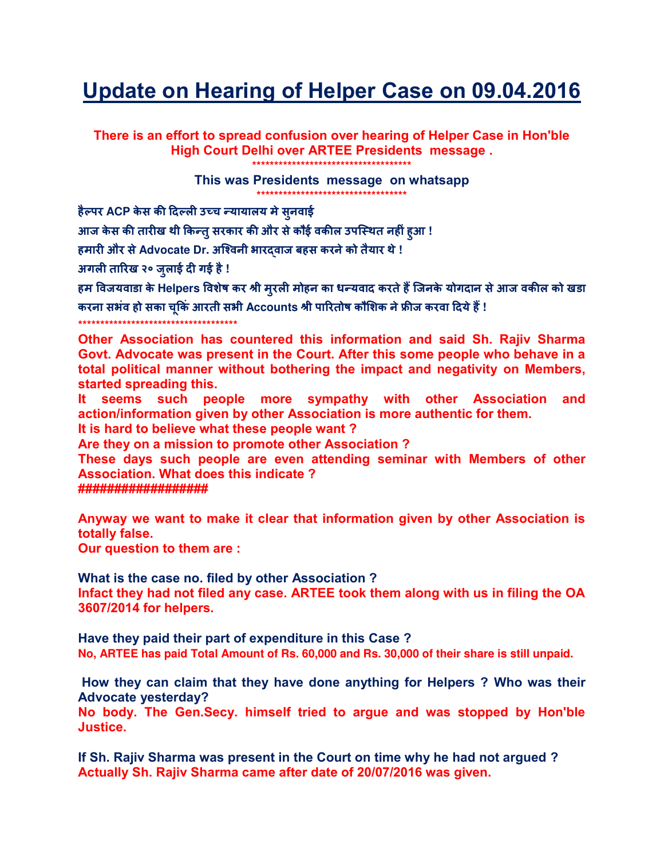## Update on Hearing of Helper Case on 09.04.2016

There is an effort to spread confusion over hearing of Helper Case in Hon'ble High Court Delhi over ARTEE Presidents message.

\*\*\*\*\*\*\*\*\*\*\*\*\*\*\*\*\*\*\*\*\*\*\*\*\*\*\*\*\*\*\*\*\*\*\*

This was Presidents message on whatsapp

हैल्पर ACP केस की दिल्ली उच्च न्यायालय मे सुनवाई

आज केस की तारीख थी किन्त् सरकार की और से कौई वकील उपस्थित नहीं हआ !

हमारी और से Advocate Dr. अश्विनी भारदवाज बहस करने को तैयार थे !

अगली तारिख २० जुलाई दी गई है !

हम विजयवाडा के Helpers विशेष कर श्री मुरली मोहन का धन्यवाद करते हैं जिनके योगदान से आज वकील को खड़ा करना सभंव हो सका चकिं आरती सभी Accounts श्री पारितोष कौशिक ने फ्रीज करवा दिये हैं !

\*\*\*\*\*\*\*\*\*\*\*\*\*\*\*\*\*\*\*\*\*\*\*\*\*\*\*\*\*\*\*\*\*\*\*

Other Association has countered this information and said Sh. Rajiv Sharma Govt. Advocate was present in the Court. After this some people who behave in a total political manner without bothering the impact and negativity on Members, started spreading this.

It seems such people more sympathy with other Association and action/information given by other Association is more authentic for them.

It is hard to believe what these people want?

Are they on a mission to promote other Association?

These days such people are even attending seminar with Members of other Association. What does this indicate?

##################

Anyway we want to make it clear that information given by other Association is totally false.

Our question to them are :

What is the case no. filed by other Association?

Infact they had not filed any case. ARTEE took them along with us in filing the OA 3607/2014 for helpers.

Have they paid their part of expenditure in this Case? No, ARTEE has paid Total Amount of Rs. 60,000 and Rs. 30,000 of their share is still unpaid.

How they can claim that they have done anything for Helpers ? Who was their **Advocate yesterday?** 

No body. The Gen.Secy. himself tried to arque and was stopped by Hon'ble Justice.

If Sh. Rajiv Sharma was present in the Court on time why he had not argued? Actually Sh. Rajiv Sharma came after date of 20/07/2016 was given.